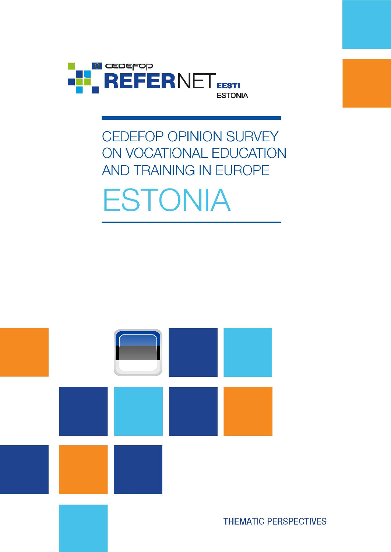

# **CEDEFOP OPINION SURVEY** ON VOCATIONAL EDUCATION AND TRAINING IN EUROPE **ESTONIA**

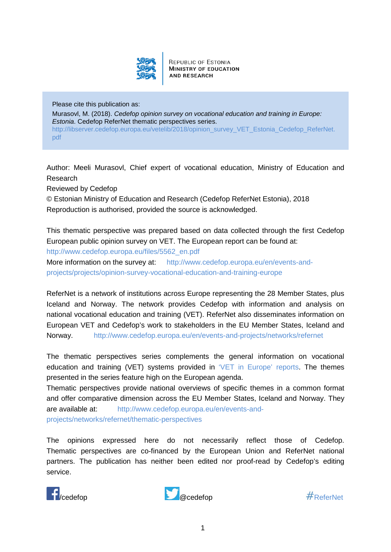

**REPUBLIC OF ESTONIA MINISTRY OF EDUCATION AND RESEARCH** 

Please cite this publication as: Murasovl, M. (2018). *Cedefop opinion survey on vocational education and training in Europe: Estonia*. Cedefop ReferNet thematic perspectives series. [http://libserver.cedefop.europa.eu/vetelib/2018/opinion\\_survey\\_VET\\_Estonia\\_Cedefop\\_ReferNet.](http://libserver.cedefop.europa.eu/vetelib/2018/opinion_survey_VET_Estonia_Cedefop_ReferNet.pdf) [pdf](http://libserver.cedefop.europa.eu/vetelib/2018/opinion_survey_VET_Estonia_Cedefop_ReferNet.pdf)

Author: Meeli Murasovl, Chief expert of vocational education, Ministry of Education and Research

Reviewed by Cedefop

© Estonian Ministry of Education and Research (Cedefop ReferNet Estonia), 2018 Reproduction is authorised, provided the source is acknowledged.

This thematic perspective was prepared based on data collected through the first Cedefop European public opinion survey on VET. The European report can be found at:

[http://www.cedefop.europa.eu/files/5562\\_en.pdf](http://www.cedefop.europa.eu/files/5562_en.pdf)

More information on the survey at: [http://www.cedefop.europa.eu/en/events-and](http://www.cedefop.europa.eu/en/events-and-projects/projects/opinion-survey-vocational-education-and-training-europe)[projects/projects/opinion-survey-vocational-education-and-training-europe](http://www.cedefop.europa.eu/en/events-and-projects/projects/opinion-survey-vocational-education-and-training-europe)

ReferNet is a network of institutions across Europe representing the 28 Member States, plus Iceland and Norway. The network provides Cedefop with information and analysis on national vocational education and training (VET). ReferNet also disseminates information on European VET and Cedefop's work to stakeholders in the EU Member States, Iceland and Norway. <http://www.cedefop.europa.eu/en/events-and-projects/networks/refernet>

The thematic perspectives series complements the general information on vocational education and training (VET) systems provided in ['VET in Europe' reports.](http://www.cedefop.europa.eu/en/publications-and-resources/country-reports/vet-in-europe-country-reports) The themes presented in the series feature high on the European agenda.

Thematic perspectives provide national overviews of specific themes in a common format and offer comparative dimension across the EU Member States, Iceland and Norway. They are available at: [http://www.cedefop.europa.eu/en/events-and](http://www.cedefop.europa.eu/en/events-and-projects/networks/refernet/thematic-perspectives)[projects/networks/refernet/thematic-perspectives](http://www.cedefop.europa.eu/en/events-and-projects/networks/refernet/thematic-perspectives)

The opinions expressed here do not necessarily reflect those of Cedefop. Thematic perspectives are co-financed by the European Union and ReferNet national partners. The publication has neither been edited nor proof-read by Cedefop's editing service.



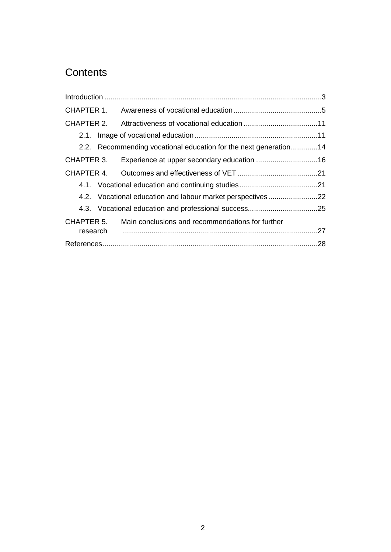# **Contents**

| CHAPTER 1.             |                                                                  |                                                  |  |  |  |  |
|------------------------|------------------------------------------------------------------|--------------------------------------------------|--|--|--|--|
| CHAPTER 2.             |                                                                  |                                                  |  |  |  |  |
|                        |                                                                  |                                                  |  |  |  |  |
|                        | 2.2. Recommending vocational education for the next generation14 |                                                  |  |  |  |  |
| CHAPTER 3.             |                                                                  |                                                  |  |  |  |  |
| CHAPTER 4.             |                                                                  |                                                  |  |  |  |  |
|                        |                                                                  |                                                  |  |  |  |  |
|                        | 4.2. Vocational education and labour market perspectives22       |                                                  |  |  |  |  |
|                        |                                                                  |                                                  |  |  |  |  |
| CHAPTER 5.<br>research |                                                                  | Main conclusions and recommendations for further |  |  |  |  |
|                        |                                                                  |                                                  |  |  |  |  |
|                        |                                                                  |                                                  |  |  |  |  |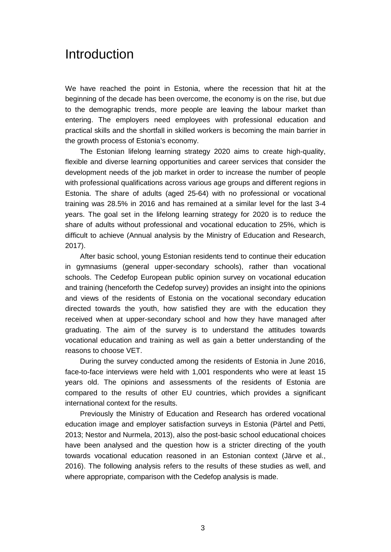### <span id="page-3-0"></span>Introduction

We have reached the point in Estonia, where the recession that hit at the beginning of the decade has been overcome, the economy is on the rise, but due to the demographic trends, more people are leaving the labour market than entering. The employers need employees with professional education and practical skills and the shortfall in skilled workers is becoming the main barrier in the growth process of Estonia's economy.

The Estonian lifelong learning strategy 2020 aims to create high-quality, flexible and diverse learning opportunities and career services that consider the development needs of the job market in order to increase the number of people with professional qualifications across various age groups and different regions in Estonia. The share of adults (aged 25-64) with no professional or vocational training was 28.5% in 2016 and has remained at a similar level for the last 3-4 years. The goal set in the lifelong learning strategy for 2020 is to reduce the share of adults without professional and vocational education to 25%, which is difficult to achieve (Annual analysis by the Ministry of Education and Research, 2017).

After basic school, young Estonian residents tend to continue their education in gymnasiums (general upper-secondary schools), rather than vocational schools. The Cedefop European public opinion survey on vocational education and training (henceforth the Cedefop survey) provides an insight into the opinions and views of the residents of Estonia on the vocational secondary education directed towards the youth, how satisfied they are with the education they received when at upper-secondary school and how they have managed after graduating. The aim of the survey is to understand the attitudes towards vocational education and training as well as gain a better understanding of the reasons to choose VET.

During the survey conducted among the residents of Estonia in June 2016, face-to-face interviews were held with 1,001 respondents who were at least 15 years old. The opinions and assessments of the residents of Estonia are compared to the results of other EU countries, which provides a significant international context for the results.

Previously the Ministry of Education and Research has ordered vocational education image and employer satisfaction surveys in Estonia (Pärtel and Petti, 2013; Nestor and Nurmela, 2013), also the post-basic school educational choices have been analysed and the question how is a stricter directing of the youth towards vocational education reasoned in an Estonian context (Järve et al., 2016). The following analysis refers to the results of these studies as well, and where appropriate, comparison with the Cedefop analysis is made.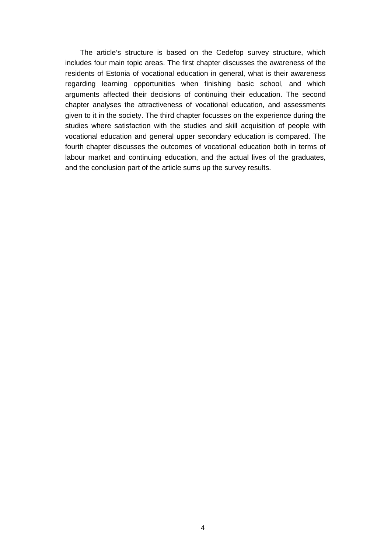The article's structure is based on the Cedefop survey structure, which includes four main topic areas. The first chapter discusses the awareness of the residents of Estonia of vocational education in general, what is their awareness regarding learning opportunities when finishing basic school, and which arguments affected their decisions of continuing their education. The second chapter analyses the attractiveness of vocational education, and assessments given to it in the society. The third chapter focusses on the experience during the studies where satisfaction with the studies and skill acquisition of people with vocational education and general upper secondary education is compared. The fourth chapter discusses the outcomes of vocational education both in terms of labour market and continuing education, and the actual lives of the graduates, and the conclusion part of the article sums up the survey results.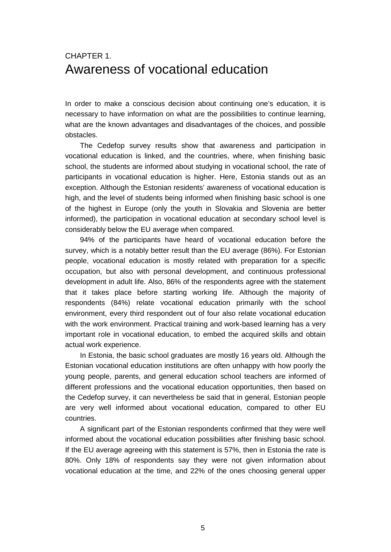### <span id="page-5-0"></span>CHAPTER 1. Awareness of vocational education

In order to make a conscious decision about continuing one's education, it is necessary to have information on what are the possibilities to continue learning, what are the known advantages and disadvantages of the choices, and possible obstacles.

The Cedefop survey results show that awareness and participation in vocational education is linked, and the countries, where, when finishing basic school, the students are informed about studying in vocational school, the rate of participants in vocational education is higher. Here, Estonia stands out as an exception. Although the Estonian residents' awareness of vocational education is high, and the level of students being informed when finishing basic school is one of the highest in Europe (only the youth in Slovakia and Slovenia are better informed), the participation in vocational education at secondary school level is considerably below the EU average when compared.

94% of the participants have heard of vocational education before the survey, which is a notably better result than the EU average (86%). For Estonian people, vocational education is mostly related with preparation for a specific occupation, but also with personal development, and continuous professional development in adult life. Also, 86% of the respondents agree with the statement that it takes place before starting working life. Although the majority of respondents (84%) relate vocational education primarily with the school environment, every third respondent out of four also relate vocational education with the work environment. Practical training and work-based learning has a very important role in vocational education, to embed the acquired skills and obtain actual work experience.

In Estonia, the basic school graduates are mostly 16 years old. Although the Estonian vocational education institutions are often unhappy with how poorly the young people, parents, and general education school teachers are informed of different professions and the vocational education opportunities, then based on the Cedefop survey, it can nevertheless be said that in general, Estonian people are very well informed about vocational education, compared to other EU countries.

A significant part of the Estonian respondents confirmed that they were well informed about the vocational education possibilities after finishing basic school. If the EU average agreeing with this statement is 57%, then in Estonia the rate is 80%. Only 18% of respondents say they were not given information about vocational education at the time, and 22% of the ones choosing general upper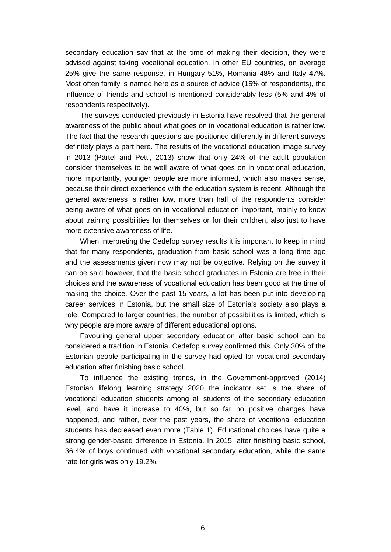secondary education say that at the time of making their decision, they were advised against taking vocational education. In other EU countries, on average 25% give the same response, in Hungary 51%, Romania 48% and Italy 47%. Most often family is named here as a source of advice (15% of respondents), the influence of friends and school is mentioned considerably less (5% and 4% of respondents respectively).

The surveys conducted previously in Estonia have resolved that the general awareness of the public about what goes on in vocational education is rather low. The fact that the research questions are positioned differently in different surveys definitely plays a part here. The results of the vocational education image survey in 2013 (Pärtel and Petti, 2013) show that only 24% of the adult population consider themselves to be well aware of what goes on in vocational education, more importantly, younger people are more informed, which also makes sense, because their direct experience with the education system is recent. Although the general awareness is rather low, more than half of the respondents consider being aware of what goes on in vocational education important, mainly to know about training possibilities for themselves or for their children, also just to have more extensive awareness of life.

When interpreting the Cedefop survey results it is important to keep in mind that for many respondents, graduation from basic school was a long time ago and the assessments given now may not be objective. Relying on the survey it can be said however, that the basic school graduates in Estonia are free in their choices and the awareness of vocational education has been good at the time of making the choice. Over the past 15 years, a lot has been put into developing career services in Estonia, but the small size of Estonia's society also plays a role. Compared to larger countries, the number of possibilities is limited, which is why people are more aware of different educational options.

Favouring general upper secondary education after basic school can be considered a tradition in Estonia. Cedefop survey confirmed this. Only 30% of the Estonian people participating in the survey had opted for vocational secondary education after finishing basic school.

To influence the existing trends, in the Government-approved (2014) Estonian lifelong learning strategy 2020 the indicator set is the share of vocational education students among all students of the secondary education level, and have it increase to 40%, but so far no positive changes have happened, and rather, over the past years, the share of vocational education students has decreased even more (Table 1). Educational choices have quite a strong gender-based difference in Estonia. In 2015, after finishing basic school, 36.4% of boys continued with vocational secondary education, while the same rate for girls was only 19.2%.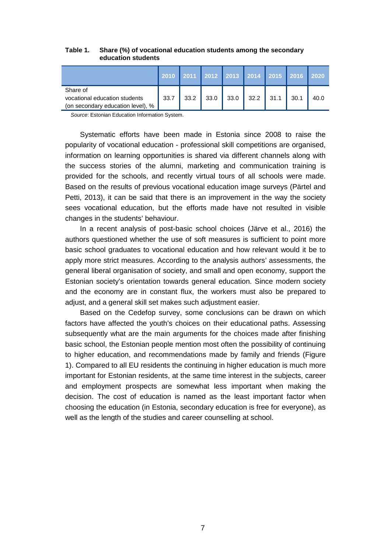|                                                                                | <b>2010</b> |      |      |      |                                   | 2011   2012   2013   2014   2015   2016 |      | 2020 |
|--------------------------------------------------------------------------------|-------------|------|------|------|-----------------------------------|-----------------------------------------|------|------|
| Share of<br>vocational education students<br>(on secondary education level), % | 33.7        | 33.2 | 33.0 | 33.0 | $\parallel$ 32.2 $\parallel$ 31.1 |                                         | 30.1 | 40.0 |

#### **Table 1. Share (%) of vocational education students among the secondary education students**

*Source*: Estonian Education Information System.

Systematic efforts have been made in Estonia since 2008 to raise the popularity of vocational education - professional skill competitions are organised, information on learning opportunities is shared via different channels along with the success stories of the alumni, marketing and communication training is provided for the schools, and recently virtual tours of all schools were made. Based on the results of previous vocational education image surveys (Pärtel and Petti, 2013), it can be said that there is an improvement in the way the society sees vocational education, but the efforts made have not resulted in visible changes in the students' behaviour.

In a recent analysis of post-basic school choices (Järve et al., 2016) the authors questioned whether the use of soft measures is sufficient to point more basic school graduates to vocational education and how relevant would it be to apply more strict measures. According to the analysis authors' assessments, the general liberal organisation of society, and small and open economy, support the Estonian society's orientation towards general education. Since modern society and the economy are in constant flux, the workers must also be prepared to adjust, and a general skill set makes such adjustment easier.

Based on the Cedefop survey, some conclusions can be drawn on which factors have affected the youth's choices on their educational paths. Assessing subsequently what are the main arguments for the choices made after finishing basic school, the Estonian people mention most often the possibility of continuing to higher education, and recommendations made by family and friends (Figure 1). Compared to all EU residents the continuing in higher education is much more important for Estonian residents, at the same time interest in the subjects, career and employment prospects are somewhat less important when making the decision. The cost of education is named as the least important factor when choosing the education (in Estonia, secondary education is free for everyone), as well as the length of the studies and career counselling at school.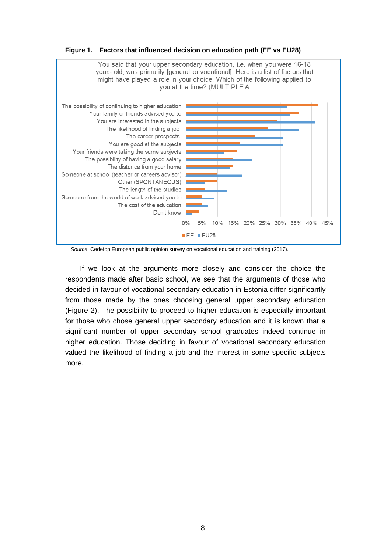

**Figure 1. Factors that influenced decision on education path (EE vs EU28)** 

*Source*: Cedefop European public opinion survey on vocational education and training (2017).

If we look at the arguments more closely and consider the choice the respondents made after basic school, we see that the arguments of those who decided in favour of vocational secondary education in Estonia differ significantly from those made by the ones choosing general upper secondary education (Figure 2). The possibility to proceed to higher education is especially important for those who chose general upper secondary education and it is known that a significant number of upper secondary school graduates indeed continue in higher education. Those deciding in favour of vocational secondary education valued the likelihood of finding a job and the interest in some specific subjects more.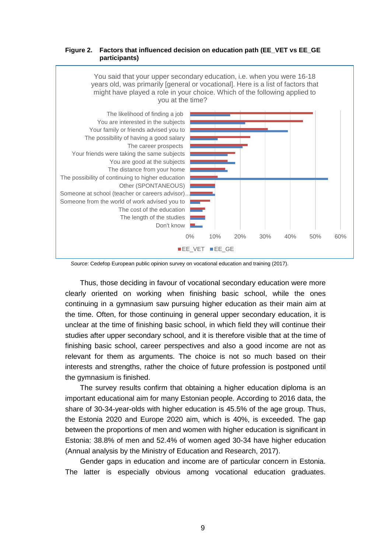#### **Figure 2. Factors that influenced decision on education path (EE\_VET vs EE\_GE participants)**



*Source*: Cedefop European public opinion survey on vocational education and training (2017).

Thus, those deciding in favour of vocational secondary education were more clearly oriented on working when finishing basic school, while the ones continuing in a gymnasium saw pursuing higher education as their main aim at the time. Often, for those continuing in general upper secondary education, it is unclear at the time of finishing basic school, in which field they will continue their studies after upper secondary school, and it is therefore visible that at the time of finishing basic school, career perspectives and also a good income are not as relevant for them as arguments. The choice is not so much based on their interests and strengths, rather the choice of future profession is postponed until the gymnasium is finished.

The survey results confirm that obtaining a higher education diploma is an important educational aim for many Estonian people. According to 2016 data, the share of 30-34-year-olds with higher education is 45.5% of the age group. Thus, the Estonia 2020 and Europe 2020 aim, which is 40%, is exceeded. The gap between the proportions of men and women with higher education is significant in Estonia: 38.8% of men and 52.4% of women aged 30-34 have higher education (Annual analysis by the Ministry of Education and Research, 2017).

Gender gaps in education and income are of particular concern in Estonia. The latter is especially obvious among vocational education graduates.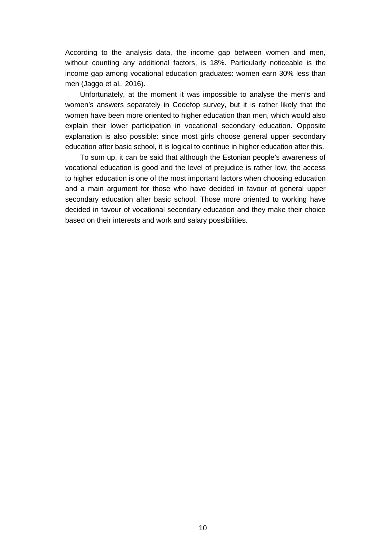According to the analysis data, the income gap between women and men, without counting any additional factors, is 18%. Particularly noticeable is the income gap among vocational education graduates: women earn 30% less than men (Jaggo et al., 2016).

Unfortunately, at the moment it was impossible to analyse the men's and women's answers separately in Cedefop survey, but it is rather likely that the women have been more oriented to higher education than men, which would also explain their lower participation in vocational secondary education. Opposite explanation is also possible: since most girls choose general upper secondary education after basic school, it is logical to continue in higher education after this.

To sum up, it can be said that although the Estonian people's awareness of vocational education is good and the level of prejudice is rather low, the access to higher education is one of the most important factors when choosing education and a main argument for those who have decided in favour of general upper secondary education after basic school. Those more oriented to working have decided in favour of vocational secondary education and they make their choice based on their interests and work and salary possibilities.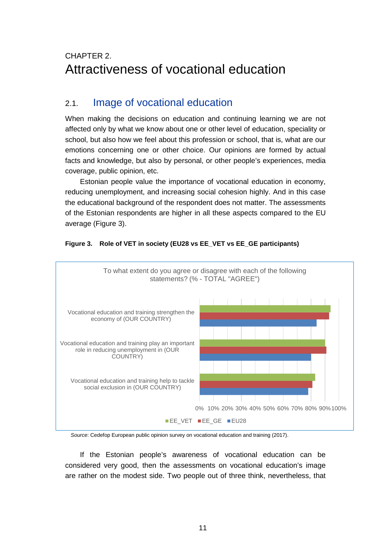# <span id="page-11-0"></span>CHAPTER 2. Attractiveness of vocational education

### <span id="page-11-1"></span>2.1. Image of vocational education

When making the decisions on education and continuing learning we are not affected only by what we know about one or other level of education, speciality or school, but also how we feel about this profession or school, that is, what are our emotions concerning one or other choice. Our opinions are formed by actual facts and knowledge, but also by personal, or other people's experiences, media coverage, public opinion, etc.

Estonian people value the importance of vocational education in economy, reducing unemployment, and increasing social cohesion highly. And in this case the educational background of the respondent does not matter. The assessments of the Estonian respondents are higher in all these aspects compared to the EU average (Figure 3).





*Source*: Cedefop European public opinion survey on vocational education and training (2017).

If the Estonian people's awareness of vocational education can be considered very good, then the assessments on vocational education's image are rather on the modest side. Two people out of three think, nevertheless, that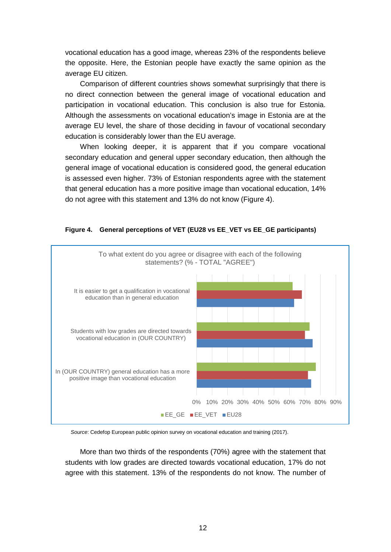vocational education has a good image, whereas 23% of the respondents believe the opposite. Here, the Estonian people have exactly the same opinion as the average EU citizen.

Comparison of different countries shows somewhat surprisingly that there is no direct connection between the general image of vocational education and participation in vocational education. This conclusion is also true for Estonia. Although the assessments on vocational education's image in Estonia are at the average EU level, the share of those deciding in favour of vocational secondary education is considerably lower than the EU average.

When looking deeper, it is apparent that if you compare vocational secondary education and general upper secondary education, then although the general image of vocational education is considered good, the general education is assessed even higher. 73% of Estonian respondents agree with the statement that general education has a more positive image than vocational education, 14% do not agree with this statement and 13% do not know (Figure 4).



#### **Figure 4. General perceptions of VET (EU28 vs EE\_VET vs EE\_GE participants)**

*Source*: Cedefop European public opinion survey on vocational education and training (2017).

More than two thirds of the respondents (70%) agree with the statement that students with low grades are directed towards vocational education, 17% do not agree with this statement. 13% of the respondents do not know. The number of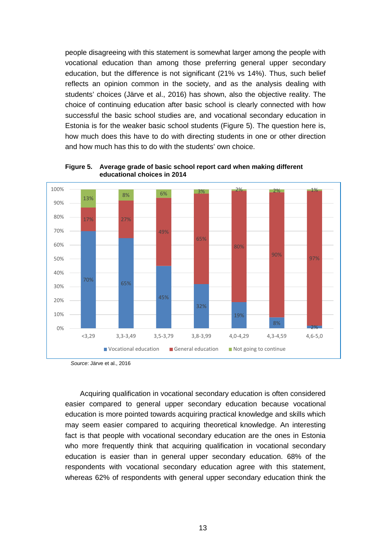people disagreeing with this statement is somewhat larger among the people with vocational education than among those preferring general upper secondary education, but the difference is not significant (21% vs 14%). Thus, such belief reflects an opinion common in the society, and as the analysis dealing with students' choices (Järve et al., 2016) has shown, also the objective reality. The choice of continuing education after basic school is clearly connected with how successful the basic school studies are, and vocational secondary education in Estonia is for the weaker basic school students (Figure 5). The question here is, how much does this have to do with directing students in one or other direction and how much has this to do with the students' own choice.



**Figure 5. Average grade of basic school report card when making different educational choices in 2014**

Acquiring qualification in vocational secondary education is often considered easier compared to general upper secondary education because vocational education is more pointed towards acquiring practical knowledge and skills which may seem easier compared to acquiring theoretical knowledge. An interesting fact is that people with vocational secondary education are the ones in Estonia who more frequently think that acquiring qualification in vocational secondary education is easier than in general upper secondary education. 68% of the respondents with vocational secondary education agree with this statement, whereas 62% of respondents with general upper secondary education think the

*Source*: Järve et al., 2016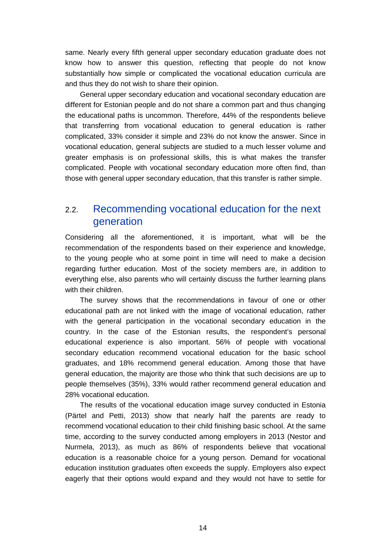same. Nearly every fifth general upper secondary education graduate does not know how to answer this question, reflecting that people do not know substantially how simple or complicated the vocational education curricula are and thus they do not wish to share their opinion.

General upper secondary education and vocational secondary education are different for Estonian people and do not share a common part and thus changing the educational paths is uncommon. Therefore, 44% of the respondents believe that transferring from vocational education to general education is rather complicated, 33% consider it simple and 23% do not know the answer. Since in vocational education, general subjects are studied to a much lesser volume and greater emphasis is on professional skills, this is what makes the transfer complicated. People with vocational secondary education more often find, than those with general upper secondary education, that this transfer is rather simple.

#### <span id="page-14-0"></span>2.2. Recommending vocational education for the next generation

Considering all the aforementioned, it is important, what will be the recommendation of the respondents based on their experience and knowledge, to the young people who at some point in time will need to make a decision regarding further education. Most of the society members are, in addition to everything else, also parents who will certainly discuss the further learning plans with their children.

The survey shows that the recommendations in favour of one or other educational path are not linked with the image of vocational education, rather with the general participation in the vocational secondary education in the country. In the case of the Estonian results, the respondent's personal educational experience is also important. 56% of people with vocational secondary education recommend vocational education for the basic school graduates, and 18% recommend general education. Among those that have general education, the majority are those who think that such decisions are up to people themselves (35%), 33% would rather recommend general education and 28% vocational education.

The results of the vocational education image survey conducted in Estonia (Pärtel and Petti, 2013) show that nearly half the parents are ready to recommend vocational education to their child finishing basic school. At the same time, according to the survey conducted among employers in 2013 (Nestor and Nurmela, 2013), as much as 86% of respondents believe that vocational education is a reasonable choice for a young person. Demand for vocational education institution graduates often exceeds the supply. Employers also expect eagerly that their options would expand and they would not have to settle for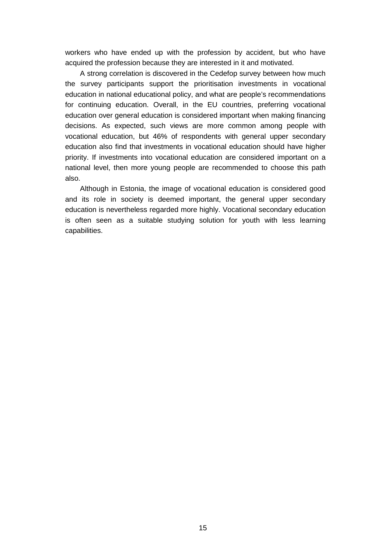workers who have ended up with the profession by accident, but who have acquired the profession because they are interested in it and motivated.

A strong correlation is discovered in the Cedefop survey between how much the survey participants support the prioritisation investments in vocational education in national educational policy, and what are people's recommendations for continuing education. Overall, in the EU countries, preferring vocational education over general education is considered important when making financing decisions. As expected, such views are more common among people with vocational education, but 46% of respondents with general upper secondary education also find that investments in vocational education should have higher priority. If investments into vocational education are considered important on a national level, then more young people are recommended to choose this path also.

Although in Estonia, the image of vocational education is considered good and its role in society is deemed important, the general upper secondary education is nevertheless regarded more highly. Vocational secondary education is often seen as a suitable studying solution for youth with less learning capabilities.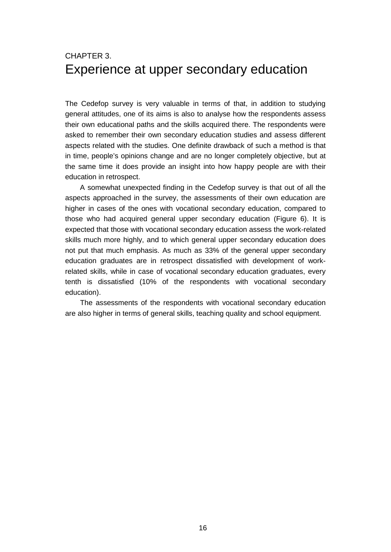### <span id="page-16-0"></span>CHAPTER 3. Experience at upper secondary education

The Cedefop survey is very valuable in terms of that, in addition to studying general attitudes, one of its aims is also to analyse how the respondents assess their own educational paths and the skills acquired there. The respondents were asked to remember their own secondary education studies and assess different aspects related with the studies. One definite drawback of such a method is that in time, people's opinions change and are no longer completely objective, but at the same time it does provide an insight into how happy people are with their education in retrospect.

A somewhat unexpected finding in the Cedefop survey is that out of all the aspects approached in the survey, the assessments of their own education are higher in cases of the ones with vocational secondary education, compared to those who had acquired general upper secondary education (Figure 6). It is expected that those with vocational secondary education assess the work-related skills much more highly, and to which general upper secondary education does not put that much emphasis. As much as 33% of the general upper secondary education graduates are in retrospect dissatisfied with development of workrelated skills, while in case of vocational secondary education graduates, every tenth is dissatisfied (10% of the respondents with vocational secondary education).

The assessments of the respondents with vocational secondary education are also higher in terms of general skills, teaching quality and school equipment.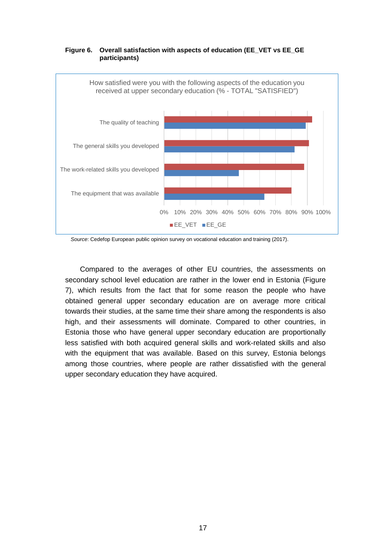

#### **Figure 6. Overall satisfaction with aspects of education (EE\_VET vs EE\_GE participants)**

*Source*: Cedefop European public opinion survey on vocational education and training (2017).

Compared to the averages of other EU countries, the assessments on secondary school level education are rather in the lower end in Estonia (Figure 7), which results from the fact that for some reason the people who have obtained general upper secondary education are on average more critical towards their studies, at the same time their share among the respondents is also high, and their assessments will dominate. Compared to other countries, in Estonia those who have general upper secondary education are proportionally less satisfied with both acquired general skills and work-related skills and also with the equipment that was available. Based on this survey, Estonia belongs among those countries, where people are rather dissatisfied with the general upper secondary education they have acquired.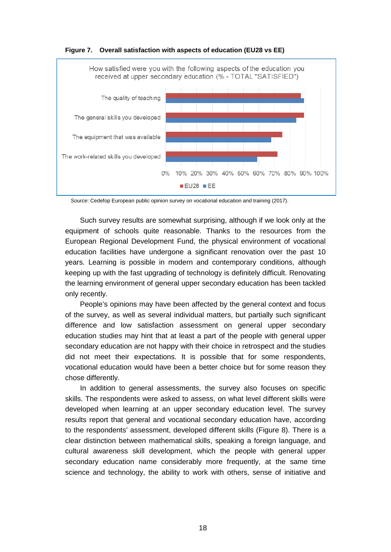

**Figure 7. Overall satisfaction with aspects of education (EU28 vs EE)** 

*Source*: Cedefop European public opinion survey on vocational education and training (2017).

Such survey results are somewhat surprising, although if we look only at the equipment of schools quite reasonable. Thanks to the resources from the European Regional Development Fund, the physical environment of vocational education facilities have undergone a significant renovation over the past 10 years. Learning is possible in modern and contemporary conditions, although keeping up with the fast upgrading of technology is definitely difficult. Renovating the learning environment of general upper secondary education has been tackled only recently.

People's opinions may have been affected by the general context and focus of the survey, as well as several individual matters, but partially such significant difference and low satisfaction assessment on general upper secondary education studies may hint that at least a part of the people with general upper secondary education are not happy with their choice in retrospect and the studies did not meet their expectations. It is possible that for some respondents, vocational education would have been a better choice but for some reason they chose differently.

In addition to general assessments, the survey also focuses on specific skills. The respondents were asked to assess, on what level different skills were developed when learning at an upper secondary education level. The survey results report that general and vocational secondary education have, according to the respondents' assessment, developed different skills (Figure 8). There is a clear distinction between mathematical skills, speaking a foreign language, and cultural awareness skill development, which the people with general upper secondary education name considerably more frequently, at the same time science and technology, the ability to work with others, sense of initiative and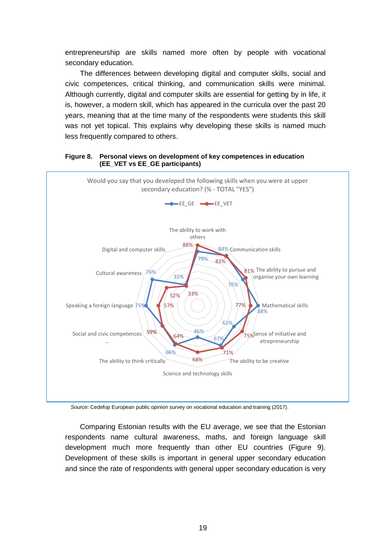entrepreneurship are skills named more often by people with vocational secondary education.

The differences between developing digital and computer skills, social and civic competences, critical thinking, and communication skills were minimal. Although currently, digital and computer skills are essential for getting by in life, it is, however, a modern skill, which has appeared in the curricula over the past 20 years, meaning that at the time many of the respondents were students this skill was not yet topical. This explains why developing these skills is named much less frequently compared to others.

#### **Figure 8. Personal views on development of key competences in education (EE\_VET vs EE\_GE participants)**



*Source*: Cedefop European public opinion survey on vocational education and training (2017).

Comparing Estonian results with the EU average, we see that the Estonian respondents name cultural awareness, maths, and foreign language skill development much more frequently than other EU countries (Figure 9). Development of these skills is important in general upper secondary education and since the rate of respondents with general upper secondary education is very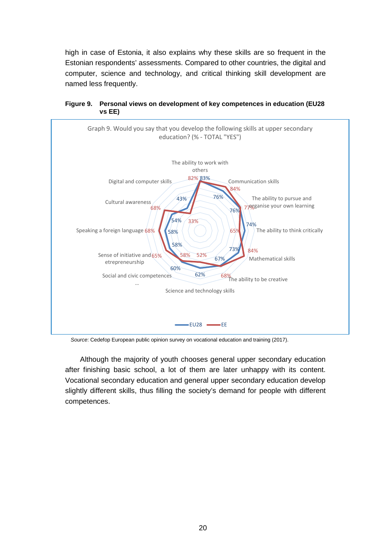high in case of Estonia, it also explains why these skills are so frequent in the Estonian respondents' assessments. Compared to other countries, the digital and computer, science and technology, and critical thinking skill development are named less frequently.





*Source*: Cedefop European public opinion survey on vocational education and training (2017).

Although the majority of youth chooses general upper secondary education after finishing basic school, a lot of them are later unhappy with its content. Vocational secondary education and general upper secondary education develop slightly different skills, thus filling the society's demand for people with different competences.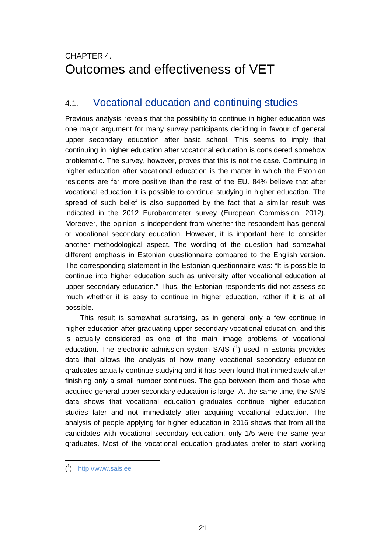# <span id="page-21-0"></span>CHAPTER 4. Outcomes and effectiveness of VET

### <span id="page-21-1"></span>4.1. Vocational education and continuing studies

Previous analysis reveals that the possibility to continue in higher education was one major argument for many survey participants deciding in favour of general upper secondary education after basic school. This seems to imply that continuing in higher education after vocational education is considered somehow problematic. The survey, however, proves that this is not the case. Continuing in higher education after vocational education is the matter in which the Estonian residents are far more positive than the rest of the EU. 84% believe that after vocational education it is possible to continue studying in higher education. The spread of such belief is also supported by the fact that a similar result was indicated in the 2012 Eurobarometer survey (European Commission, 2012). Moreover, the opinion is independent from whether the respondent has general or vocational secondary education. However, it is important here to consider another methodological aspect. The wording of the question had somewhat different emphasis in Estonian questionnaire compared to the English version. The corresponding statement in the Estonian questionnaire was: "It is possible to continue into higher education such as university after vocational education at upper secondary education." Thus, the Estonian respondents did not assess so much whether it is easy to continue in higher education, rather if it is at all possible.

This result is somewhat surprising, as in general only a few continue in higher education after graduating upper secondary vocational education, and this is actually considered as one of the main image problems of vocational education. The electronic admission system SAIS  $(1)$  $(1)$  $(1)$  used in Estonia provides data that allows the analysis of how many vocational secondary education graduates actually continue studying and it has been found that immediately after finishing only a small number continues. The gap between them and those who acquired general upper secondary education is large. At the same time, the SAIS data shows that vocational education graduates continue higher education studies later and not immediately after acquiring vocational education. The analysis of people applying for higher education in 2016 shows that from all the candidates with vocational secondary education, only 1/5 were the same year graduates. Most of the vocational education graduates prefer to start working

<span id="page-21-2"></span>( 1 ) [http://www.sais.ee](http://www.sais.ee/)

-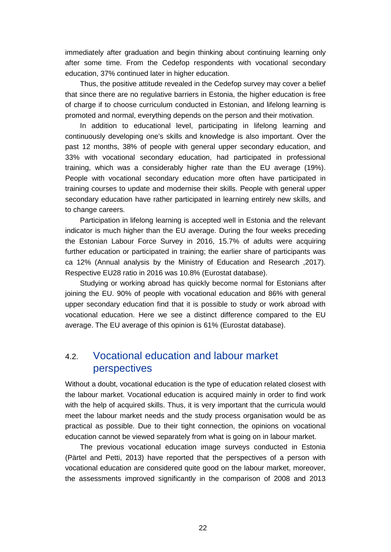immediately after graduation and begin thinking about continuing learning only after some time. From the Cedefop respondents with vocational secondary education, 37% continued later in higher education.

Thus, the positive attitude revealed in the Cedefop survey may cover a belief that since there are no regulative barriers in Estonia, the higher education is free of charge if to choose curriculum conducted in Estonian, and lifelong learning is promoted and normal, everything depends on the person and their motivation.

In addition to educational level, participating in lifelong learning and continuously developing one's skills and knowledge is also important. Over the past 12 months, 38% of people with general upper secondary education, and 33% with vocational secondary education, had participated in professional training, which was a considerably higher rate than the EU average (19%). People with vocational secondary education more often have participated in training courses to update and modernise their skills. People with general upper secondary education have rather participated in learning entirely new skills, and to change careers.

Participation in lifelong learning is accepted well in Estonia and the relevant indicator is much higher than the EU average. During the four weeks preceding the Estonian Labour Force Survey in 2016, 15.7% of adults were acquiring further education or participated in training; the earlier share of participants was ca 12% (Annual analysis by the Ministry of Education and Research ,2017). Respective EU28 ratio in 2016 was 10.8% (Eurostat database).

Studying or working abroad has quickly become normal for Estonians after joining the EU. 90% of people with vocational education and 86% with general upper secondary education find that it is possible to study or work abroad with vocational education. Here we see a distinct difference compared to the EU average. The EU average of this opinion is 61% (Eurostat database).

### <span id="page-22-0"></span>4.2. Vocational education and labour market perspectives

Without a doubt, vocational education is the type of education related closest with the labour market. Vocational education is acquired mainly in order to find work with the help of acquired skills. Thus, it is very important that the curricula would meet the labour market needs and the study process organisation would be as practical as possible. Due to their tight connection, the opinions on vocational education cannot be viewed separately from what is going on in labour market.

The previous vocational education image surveys conducted in Estonia (Pärtel and Petti, 2013) have reported that the perspectives of a person with vocational education are considered quite good on the labour market, moreover, the assessments improved significantly in the comparison of 2008 and 2013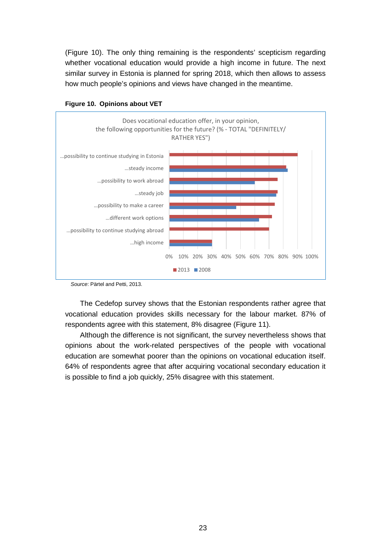(Figure 10). The only thing remaining is the respondents' scepticism regarding whether vocational education would provide a high income in future. The next similar survey in Estonia is planned for spring 2018, which then allows to assess how much people's opinions and views have changed in the meantime.





The Cedefop survey shows that the Estonian respondents rather agree that vocational education provides skills necessary for the labour market. 87% of respondents agree with this statement, 8% disagree (Figure 11).

Although the difference is not significant, the survey nevertheless shows that opinions about the work-related perspectives of the people with vocational education are somewhat poorer than the opinions on vocational education itself. 64% of respondents agree that after acquiring vocational secondary education it is possible to find a job quickly, 25% disagree with this statement.

*Source*: Pärtel and Petti, 2013.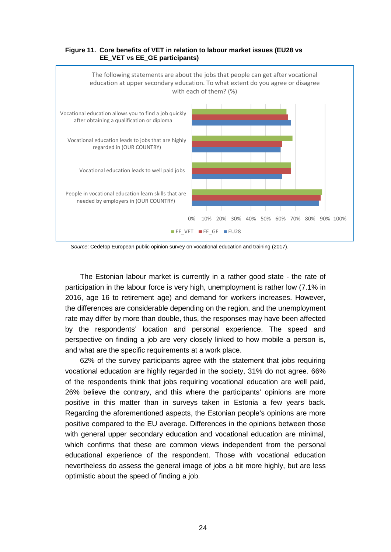

#### **Figure 11. Core benefits of VET in relation to labour market issues (EU28 vs EE\_VET vs EE\_GE participants)**

*Source*: Cedefop European public opinion survey on vocational education and training (2017).

The Estonian labour market is currently in a rather good state - the rate of participation in the labour force is very high, unemployment is rather low (7.1% in 2016, age 16 to retirement age) and demand for workers increases. However, the differences are considerable depending on the region, and the unemployment rate may differ by more than double, thus, the responses may have been affected by the respondents' location and personal experience. The speed and perspective on finding a job are very closely linked to how mobile a person is, and what are the specific requirements at a work place.

62% of the survey participants agree with the statement that jobs requiring vocational education are highly regarded in the society, 31% do not agree. 66% of the respondents think that jobs requiring vocational education are well paid, 26% believe the contrary, and this where the participants' opinions are more positive in this matter than in surveys taken in Estonia a few years back. Regarding the aforementioned aspects, the Estonian people's opinions are more positive compared to the EU average. Differences in the opinions between those with general upper secondary education and vocational education are minimal. which confirms that these are common views independent from the personal educational experience of the respondent. Those with vocational education nevertheless do assess the general image of jobs a bit more highly, but are less optimistic about the speed of finding a job.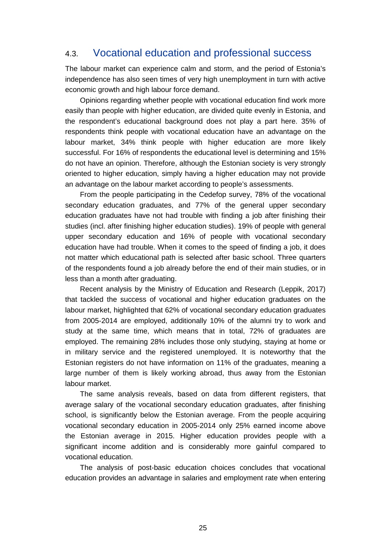### <span id="page-25-0"></span>4.3. Vocational education and professional success

The labour market can experience calm and storm, and the period of Estonia's independence has also seen times of very high unemployment in turn with active economic growth and high labour force demand.

Opinions regarding whether people with vocational education find work more easily than people with higher education, are divided quite evenly in Estonia, and the respondent's educational background does not play a part here. 35% of respondents think people with vocational education have an advantage on the labour market, 34% think people with higher education are more likely successful. For 16% of respondents the educational level is determining and 15% do not have an opinion. Therefore, although the Estonian society is very strongly oriented to higher education, simply having a higher education may not provide an advantage on the labour market according to people's assessments.

From the people participating in the Cedefop survey, 78% of the vocational secondary education graduates, and 77% of the general upper secondary education graduates have not had trouble with finding a job after finishing their studies (incl. after finishing higher education studies). 19% of people with general upper secondary education and 16% of people with vocational secondary education have had trouble. When it comes to the speed of finding a job, it does not matter which educational path is selected after basic school. Three quarters of the respondents found a job already before the end of their main studies, or in less than a month after graduating.

Recent analysis by the Ministry of Education and Research (Leppik, 2017) that tackled the success of vocational and higher education graduates on the labour market, highlighted that 62% of vocational secondary education graduates from 2005-2014 are employed, additionally 10% of the alumni try to work and study at the same time, which means that in total, 72% of graduates are employed. The remaining 28% includes those only studying, staying at home or in military service and the registered unemployed. It is noteworthy that the Estonian registers do not have information on 11% of the graduates, meaning a large number of them is likely working abroad, thus away from the Estonian labour market.

The same analysis reveals, based on data from different registers, that average salary of the vocational secondary education graduates, after finishing school, is significantly below the Estonian average. From the people acquiring vocational secondary education in 2005-2014 only 25% earned income above the Estonian average in 2015. Higher education provides people with a significant income addition and is considerably more gainful compared to vocational education.

The analysis of post-basic education choices concludes that vocational education provides an advantage in salaries and employment rate when entering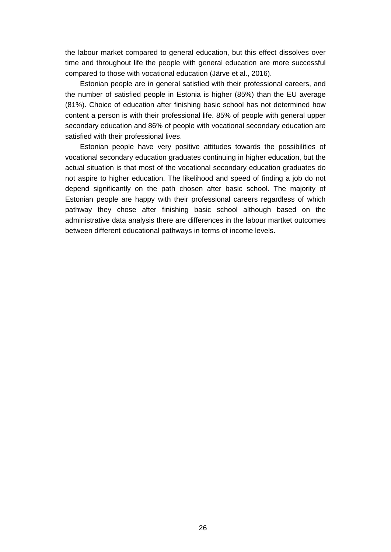the labour market compared to general education, but this effect dissolves over time and throughout life the people with general education are more successful compared to those with vocational education (Järve et al., 2016).

Estonian people are in general satisfied with their professional careers, and the number of satisfied people in Estonia is higher (85%) than the EU average (81%). Choice of education after finishing basic school has not determined how content a person is with their professional life. 85% of people with general upper secondary education and 86% of people with vocational secondary education are satisfied with their professional lives.

Estonian people have very positive attitudes towards the possibilities of vocational secondary education graduates continuing in higher education, but the actual situation is that most of the vocational secondary education graduates do not aspire to higher education. The likelihood and speed of finding a job do not depend significantly on the path chosen after basic school. The majority of Estonian people are happy with their professional careers regardless of which pathway they chose after finishing basic school although based on the administrative data analysis there are differences in the labour martket outcomes between different educational pathways in terms of income levels.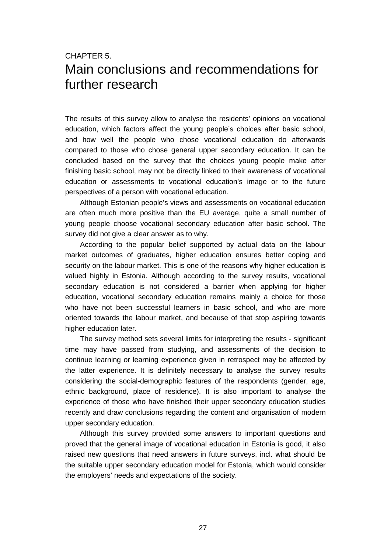## <span id="page-27-0"></span>CHAPTER 5. Main conclusions and recommendations for further research

The results of this survey allow to analyse the residents' opinions on vocational education, which factors affect the young people's choices after basic school, and how well the people who chose vocational education do afterwards compared to those who chose general upper secondary education. It can be concluded based on the survey that the choices young people make after finishing basic school, may not be directly linked to their awareness of vocational education or assessments to vocational education's image or to the future perspectives of a person with vocational education.

Although Estonian people's views and assessments on vocational education are often much more positive than the EU average, quite a small number of young people choose vocational secondary education after basic school. The survey did not give a clear answer as to why.

According to the popular belief supported by actual data on the labour market outcomes of graduates, higher education ensures better coping and security on the labour market. This is one of the reasons why higher education is valued highly in Estonia. Although according to the survey results, vocational secondary education is not considered a barrier when applying for higher education, vocational secondary education remains mainly a choice for those who have not been successful learners in basic school, and who are more oriented towards the labour market, and because of that stop aspiring towards higher education later.

The survey method sets several limits for interpreting the results - significant time may have passed from studying, and assessments of the decision to continue learning or learning experience given in retrospect may be affected by the latter experience. It is definitely necessary to analyse the survey results considering the social-demographic features of the respondents (gender, age, ethnic background, place of residence). It is also important to analyse the experience of those who have finished their upper secondary education studies recently and draw conclusions regarding the content and organisation of modern upper secondary education.

Although this survey provided some answers to important questions and proved that the general image of vocational education in Estonia is good, it also raised new questions that need answers in future surveys, incl. what should be the suitable upper secondary education model for Estonia, which would consider the employers' needs and expectations of the society.